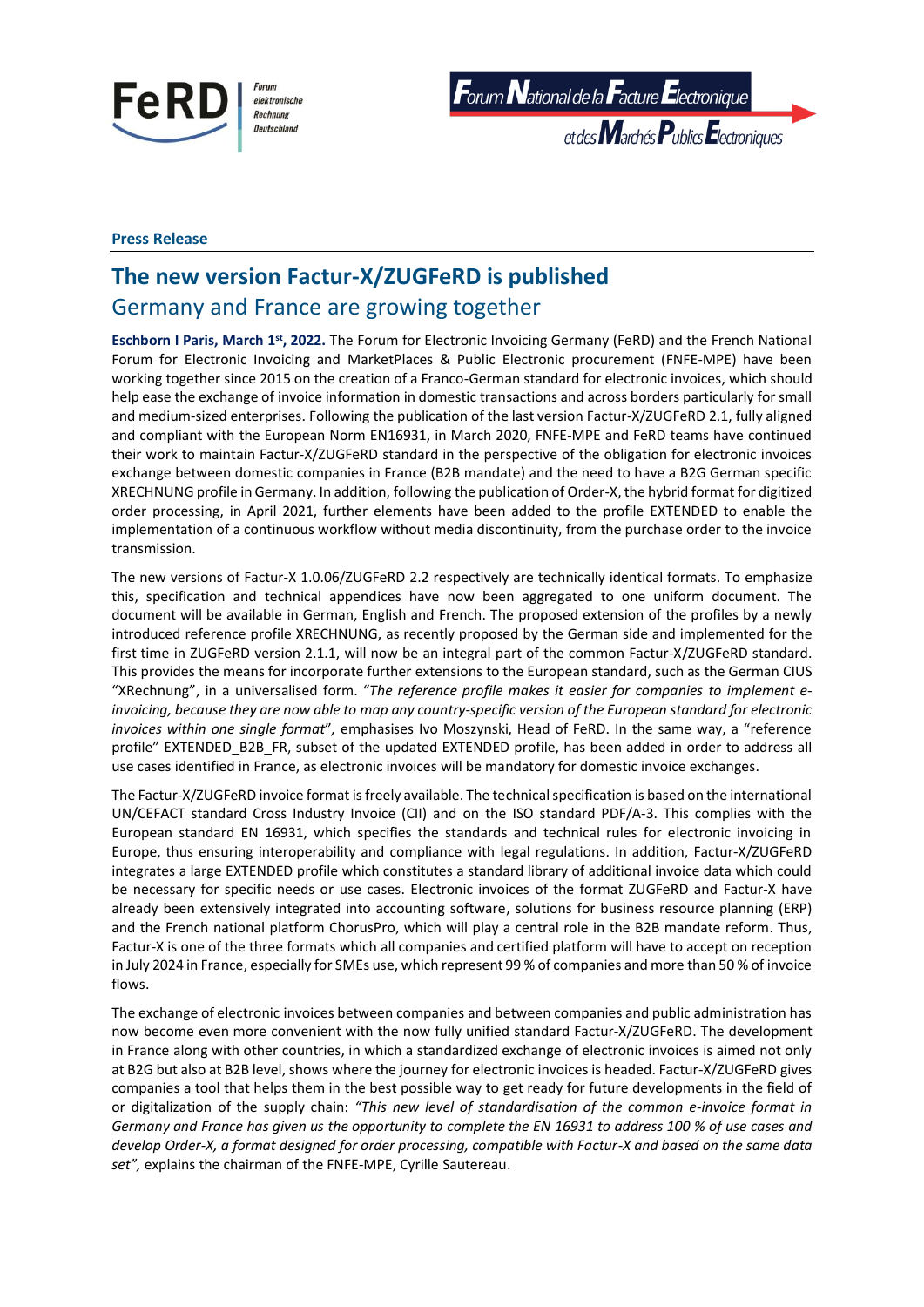

elektronische Rechnung Deutschland

 $\bm{F}$ orum  $\bm{N}$ ational de la  $\bm{F}$ acture  $\bm{E}$ lectronique

et des Marchés Publics Electroniques

### **Press Release**

# **The new version Factur-X/ZUGFeRD is published** Germany and France are growing together

**Eschborn I Paris, March 1st , 2022.** The Forum for Electronic Invoicing Germany (FeRD) and the French National Forum for Electronic Invoicing and MarketPlaces & Public Electronic procurement (FNFE-MPE) have been working together since 2015 on the creation of a Franco-German standard for electronic invoices, which should help ease the exchange of invoice information in domestic transactions and across borders particularly for small and medium-sized enterprises. Following the publication of the last version Factur-X/ZUGFeRD 2.1, fully aligned and compliant with the European Norm EN16931, in March 2020, FNFE-MPE and FeRD teams have continued their work to maintain Factur-X/ZUGFeRD standard in the perspective of the obligation for electronic invoices exchange between domestic companies in France (B2B mandate) and the need to have a B2G German specific XRECHNUNG profile in Germany. In addition, following the publication of Order-X, the hybrid format for digitized order processing, in April 2021, further elements have been added to the profile EXTENDED to enable the implementation of a continuous workflow without media discontinuity, from the purchase order to the invoice transmission.

The new versions of Factur-X 1.0.06/ZUGFeRD 2.2 respectively are technically identical formats. To emphasize this, specification and technical appendices have now been aggregated to one uniform document. The document will be available in German, English and French. The proposed extension of the profiles by a newly introduced reference profile XRECHNUNG, as recently proposed by the German side and implemented for the first time in ZUGFeRD version 2.1.1, will now be an integral part of the common Factur-X/ZUGFeRD standard. This provides the means for incorporate further extensions to the European standard, such as the German CIUS "XRechnung", in a universalised form. "*The reference profile makes it easier for companies to implement einvoicing, because they are now able to map any country-specific version of the European standard for electronic invoices within one single format*"*,* emphasises Ivo Moszynski, Head of FeRD. In the same way, a "reference profile" EXTENDED\_B2B\_FR, subset of the updated EXTENDED profile, has been added in order to address all use cases identified in France, as electronic invoices will be mandatory for domestic invoice exchanges.

The Factur-X/ZUGFeRD invoice format is freely available. The technical specification is based on the international UN/CEFACT standard Cross Industry Invoice (CII) and on the ISO standard PDF/A-3. This complies with the European standard EN 16931, which specifies the standards and technical rules for electronic invoicing in Europe, thus ensuring interoperability and compliance with legal regulations. In addition, Factur-X/ZUGFeRD integrates a large EXTENDED profile which constitutes a standard library of additional invoice data which could be necessary for specific needs or use cases. Electronic invoices of the format ZUGFeRD and Factur-X have already been extensively integrated into accounting software, solutions for business resource planning (ERP) and the French national platform ChorusPro, which will play a central role in the B2B mandate reform. Thus, Factur-X is one of the three formats which all companies and certified platform will have to accept on reception in July 2024 in France, especially for SMEs use, which represent 99 % of companies and more than 50 % of invoice flows.

The exchange of electronic invoices between companies and between companies and public administration has now become even more convenient with the now fully unified standard Factur-X/ZUGFeRD. The development in France along with other countries, in which a standardized exchange of electronic invoices is aimed not only at B2G but also at B2B level, shows where the journey for electronic invoices is headed. Factur-X/ZUGFeRD gives companies a tool that helps them in the best possible way to get ready for future developments in the field of or digitalization of the supply chain: *"This new level of standardisation of the common e-invoice format in Germany and France has given us the opportunity to complete the EN 16931 to address 100 % of use cases and develop Order-X, a format designed for order processing, compatible with Factur-X and based on the same data set",* explains the chairman of the FNFE-MPE, Cyrille Sautereau.